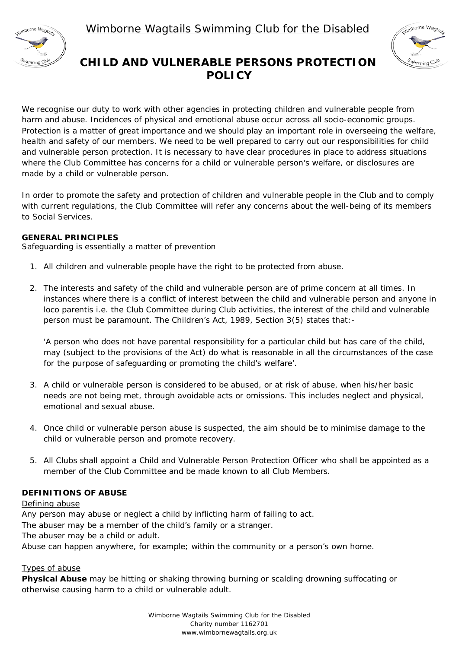Wimborne Wagtails Swimming Club for the Disabled



# Nimborne Wagtar Swimming Clu<sup>r</sup>

# **CHILD AND VULNERABLE PERSONS PROTECTION POLICY**

We recognise our duty to work with other agencies in protecting children and vulnerable people from harm and abuse. Incidences of physical and emotional abuse occur across all socio-economic groups. Protection is a matter of great importance and we should play an important role in overseeing the welfare, health and safety of our members. We need to be well prepared to carry out our responsibilities for child and vulnerable person protection. It is necessary to have clear procedures in place to address situations where the Club Committee has concerns for a child or vulnerable person's welfare, or disclosures are made by a child or vulnerable person.

In order to promote the safety and protection of children and vulnerable people in the Club and to comply with current regulations, the Club Committee will refer any concerns about the well-being of its members to Social Services.

#### **GENERAL PRINCIPLES**

Safeguarding is essentially a matter of prevention

- 1. All children and vulnerable people have the right to be protected from abuse.
- 2. The interests and safety of the child and vulnerable person are of prime concern at all times. In instances where there is a conflict of interest between the child and vulnerable person and anyone in loco parentis i.e. the Club Committee during Club activities, the interest of the child and vulnerable person must be paramount. The Children's Act, 1989, Section 3(5) states that:-

'A person who does not have parental responsibility for a particular child but has care of the child, may (subject to the provisions of the Act) do what is reasonable in all the circumstances of the case for the purpose of safeguarding or promoting the child's welfare'.

- 3. A child or vulnerable person is considered to be abused, or at risk of abuse, when his/her basic needs are not being met, through avoidable acts or omissions. This includes neglect and physical, emotional and sexual abuse.
- 4. Once child or vulnerable person abuse is suspected, the aim should be to minimise damage to the child or vulnerable person and promote recovery.
- 5. All Clubs shall appoint a Child and Vulnerable Person Protection Officer who shall be appointed as a member of the Club Committee and be made known to all Club Members.

## **DEFINITIONS OF ABUSE**

#### Defining abuse

Any person may abuse or neglect a child by inflicting harm of failing to act. The abuser may be a member of the child's family or a stranger.

The abuser may be a child or adult.

Abuse can happen anywhere, for example; within the community or a person's own home.

#### Types of abuse

**Physical Abuse** may be hitting or shaking throwing burning or scalding drowning suffocating or otherwise causing harm to a child or vulnerable adult.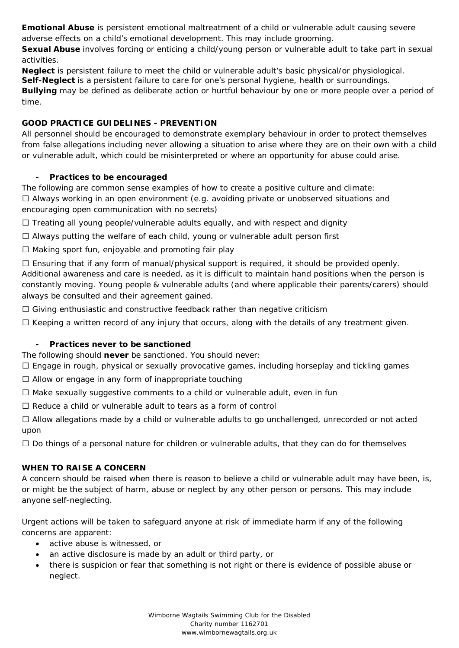**Emotional Abuse** is persistent emotional maltreatment of a child or vulnerable adult causing severe adverse effects on a child's emotional development. This may include grooming.

**Sexual Abuse** involves forcing or enticing a child/young person or vulnerable adult to take part in sexual activities.

**Neglect** is persistent failure to meet the child or vulnerable adult's basic physical/or physiological.

**Self-Neglect** is a persistent failure to care for one's personal hygiene, health or surroundings.

**Bullying** may be defined as deliberate action or hurtful behaviour by one or more people over a period of time.

# **GOOD PRACTICE GUIDELINES - PREVENTION**

All personnel should be encouraged to demonstrate exemplary behaviour in order to protect themselves from false allegations including never allowing a situation to arise where they are on their own with a child or vulnerable adult, which could be misinterpreted or where an opportunity for abuse could arise.

# **- Practices to be encouraged**

The following are common sense examples of how to create a positive culture and climate:  $\Box$  Always working in an open environment (e.g. avoiding private or unobserved situations and encouraging open communication with no secrets)

 $\Box$  Treating all young people/vulnerable adults equally, and with respect and dignity

Always putting the welfare of each child, young or vulnerable adult person first

 $\Box$  Making sport fun, enjoyable and promoting fair play

 $\Box$  Ensuring that if any form of manual/physical support is required, it should be provided openly. Additional awareness and care is needed, as it is difficult to maintain hand positions when the person is constantly moving. Young people & vulnerable adults (and where applicable their parents/carers) should always be consulted and their agreement gained.

 $\Box$  Giving enthusiastic and constructive feedback rather than negative criticism

 $\Box$  Keeping a written record of any injury that occurs, along with the details of any treatment given.

## **- Practices never to be sanctioned**

The following should *never* be sanctioned. You should never:

 $\Box$  Engage in rough, physical or sexually provocative games, including horseplay and tickling games

 $\Box$  Allow or engage in any form of inappropriate touching

 $\Box$  Make sexually suggestive comments to a child or vulnerable adult, even in fun

 $\Box$  Reduce a child or vulnerable adult to tears as a form of control

 $\Box$  Allow allegations made by a child or vulnerable adults to go unchallenged, unrecorded or not acted upon

 $\Box$  Do things of a personal nature for children or vulnerable adults, that they can do for themselves

# **WHEN TO RAISE A CONCERN**

A concern should be raised when there is reason to believe a child or vulnerable adult may have been, is, or might be the subject of harm, abuse or neglect by any other person or persons. This may include anyone self-neglecting.

Urgent actions will be taken to safeguard anyone at risk of immediate harm if any of the following concerns are apparent:

- active abuse is witnessed, or
- an active disclosure is made by an adult or third party, or
- there is suspicion or fear that something is not right or there is evidence of possible abuse or neglect.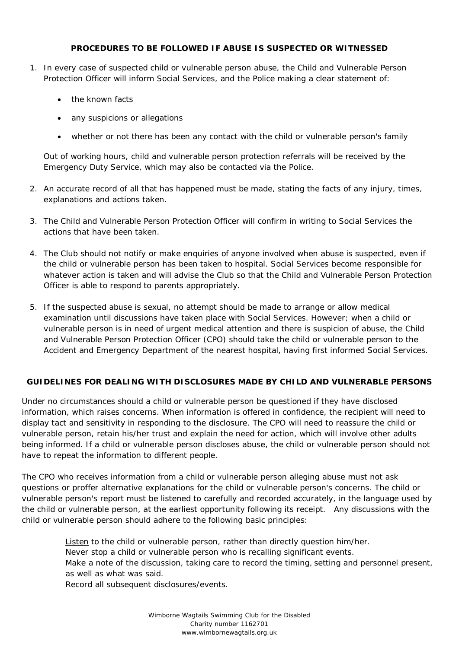#### **PROCEDURES TO BE FOLLOWED IF ABUSE IS SUSPECTED OR WITNESSED**

- 1. In every case of suspected child or vulnerable person abuse, the Child and Vulnerable Person Protection Officer will inform Social Services, and the Police making a clear statement of:
	- the known facts
	- any suspicions or allegations
	- whether or not there has been any contact with the child or vulnerable person's family

Out of working hours, child and vulnerable person protection referrals will be received by the Emergency Duty Service, which may also be contacted via the Police.

- 2. An accurate record of all that has happened must be made, stating the facts of any injury, times, explanations and actions taken.
- 3. The Child and Vulnerable Person Protection Officer will confirm in writing to Social Services the actions that have been taken.
- 4. The Club should not notify or make enquiries of anyone involved when abuse is suspected, even if the child or vulnerable person has been taken to hospital. Social Services become responsible for whatever action is taken and will advise the Club so that the Child and Vulnerable Person Protection Officer is able to respond to parents appropriately.
- 5. If the suspected abuse is sexual, no attempt should be made to arrange or allow medical examination until discussions have taken place with Social Services. However; when a child or vulnerable person is in need of urgent medical attention and there is suspicion of abuse, the Child and Vulnerable Person Protection Officer (CPO) should take the child or vulnerable person to the Accident and Emergency Department of the nearest hospital, having first informed Social Services.

#### **GUIDELINES FOR DEALING WITH DISCLOSURES MADE BY CHILD AND VULNERABLE PERSONS**

Under no circumstances should a child or vulnerable person be questioned if they have disclosed information, which raises concerns. When information is offered in confidence, the recipient will need to display tact and sensitivity in responding to the disclosure. The CPO will need to reassure the child or vulnerable person, retain his/her trust and explain the need for action, which will involve other adults being informed. If a child or vulnerable person discloses abuse, the child or vulnerable person should not have to repeat the information to different people.

The CPO who receives information from a child or vulnerable person alleging abuse must not ask questions or proffer alternative explanations for the child or vulnerable person's concerns. The child or vulnerable person's report must be listened to carefully and recorded accurately, in the language used by the child or vulnerable person, at the earliest opportunity following its receipt. Any discussions with the child or vulnerable person should adhere to the following basic principles:

> Listen to the child or vulnerable person, rather than directly question him/her. Never stop a child or vulnerable person who is recalling significant events. Make a note of the discussion, taking care to record the timing, setting and personnel present, as well as what was said.

Record all subsequent disclosures/events.